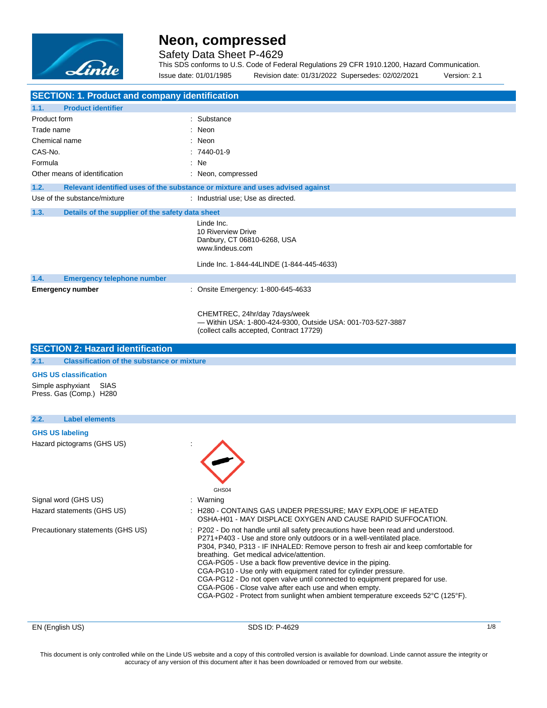

### Safety Data Sheet P-4629

This SDS conforms to U.S. Code of Federal Regulations 29 CFR 1910.1200, Hazard Communication. Issue date: 01/01/1985 Revision date: 01/31/2022 Supersedes: 02/02/2021 Version: 2.1

| <b>SECTION: 1. Product and company identification</b>                             |                                                                                                                                          |  |  |
|-----------------------------------------------------------------------------------|------------------------------------------------------------------------------------------------------------------------------------------|--|--|
| 1.1.<br><b>Product identifier</b>                                                 |                                                                                                                                          |  |  |
| <b>Product form</b>                                                               | : Substance                                                                                                                              |  |  |
| Trade name                                                                        | Neon                                                                                                                                     |  |  |
| Chemical name                                                                     | : Neon                                                                                                                                   |  |  |
| CAS-No.                                                                           | $:7440-01-9$                                                                                                                             |  |  |
| Formula                                                                           | : Ne                                                                                                                                     |  |  |
| Other means of identification                                                     | : Neon, compressed                                                                                                                       |  |  |
| 1.2.                                                                              | Relevant identified uses of the substance or mixture and uses advised against                                                            |  |  |
| Use of the substance/mixture                                                      | : Industrial use; Use as directed.                                                                                                       |  |  |
|                                                                                   |                                                                                                                                          |  |  |
| 1.3.<br>Details of the supplier of the safety data sheet                          |                                                                                                                                          |  |  |
|                                                                                   | Linde Inc.<br>10 Riverview Drive<br>Danbury, CT 06810-6268, USA<br>www.lindeus.com                                                       |  |  |
|                                                                                   | Linde Inc. 1-844-44LINDE (1-844-445-4633)                                                                                                |  |  |
| 1.4.<br><b>Emergency telephone number</b>                                         |                                                                                                                                          |  |  |
| <b>Emergency number</b>                                                           | : Onsite Emergency: 1-800-645-4633                                                                                                       |  |  |
|                                                                                   | CHEMTREC, 24hr/day 7days/week<br>- Within USA: 1-800-424-9300, Outside USA: 001-703-527-3887<br>(collect calls accepted, Contract 17729) |  |  |
| <b>SECTION 2: Hazard identification</b>                                           |                                                                                                                                          |  |  |
| 2.1.<br><b>Classification of the substance or mixture</b>                         |                                                                                                                                          |  |  |
| <b>GHS US classification</b><br>Simple asphyxiant SIAS<br>Press. Gas (Comp.) H280 |                                                                                                                                          |  |  |
| 2.2.<br><b>Label elements</b>                                                     |                                                                                                                                          |  |  |
|                                                                                   |                                                                                                                                          |  |  |
| <b>GHS US labeling</b>                                                            |                                                                                                                                          |  |  |
|                                                                                   |                                                                                                                                          |  |  |
|                                                                                   | GHS04                                                                                                                                    |  |  |
| Hazard pictograms (GHS US)<br>Signal word (GHS US)<br>Hazard statements (GHS US)  | : Warning<br>: H280 - CONTAINS GAS UNDER PRESSURE; MAY EXPLODE IF HEATED<br>OSHA-H01 - MAY DISPLACE OXYGEN AND CAUSE RAPID SUFFOCATION.  |  |  |

EN (English US) 8DS ID: P-4629 1/8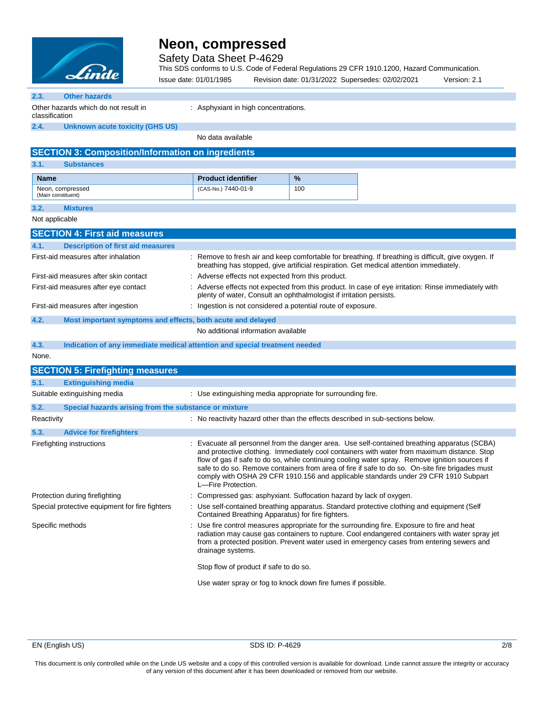

Safety Data Sheet P-4629

This SDS conforms to U.S. Code of Federal Regulations 29 CFR 1910.1200, Hazard Communication.

|                                                                                                                                                                                                                    | Linde                                                                      | Issue date: 01/01/1985    | Revision date: 01/31/2022 Supersedes: 02/02/2021                                                                                                                                                                                                                                                                                                                                                                                                                                      | Version: 2.1 |
|--------------------------------------------------------------------------------------------------------------------------------------------------------------------------------------------------------------------|----------------------------------------------------------------------------|---------------------------|---------------------------------------------------------------------------------------------------------------------------------------------------------------------------------------------------------------------------------------------------------------------------------------------------------------------------------------------------------------------------------------------------------------------------------------------------------------------------------------|--------------|
| 2.3.                                                                                                                                                                                                               | <b>Other hazards</b>                                                       |                           |                                                                                                                                                                                                                                                                                                                                                                                                                                                                                       |              |
| classification                                                                                                                                                                                                     | Other hazards which do not result in                                       |                           | : Asphyxiant in high concentrations.                                                                                                                                                                                                                                                                                                                                                                                                                                                  |              |
| 2.4.                                                                                                                                                                                                               | <b>Unknown acute toxicity (GHS US)</b>                                     |                           |                                                                                                                                                                                                                                                                                                                                                                                                                                                                                       |              |
|                                                                                                                                                                                                                    |                                                                            | No data available         |                                                                                                                                                                                                                                                                                                                                                                                                                                                                                       |              |
|                                                                                                                                                                                                                    | <b>SECTION 3: Composition/Information on ingredients</b>                   |                           |                                                                                                                                                                                                                                                                                                                                                                                                                                                                                       |              |
| 3.1.                                                                                                                                                                                                               | <b>Substances</b>                                                          |                           |                                                                                                                                                                                                                                                                                                                                                                                                                                                                                       |              |
| <b>Name</b>                                                                                                                                                                                                        |                                                                            | <b>Product identifier</b> | $\%$                                                                                                                                                                                                                                                                                                                                                                                                                                                                                  |              |
|                                                                                                                                                                                                                    | Neon, compressed<br>(Main constituent)                                     | (CAS-No.) 7440-01-9       | 100                                                                                                                                                                                                                                                                                                                                                                                                                                                                                   |              |
| 3.2.                                                                                                                                                                                                               | <b>Mixtures</b>                                                            |                           |                                                                                                                                                                                                                                                                                                                                                                                                                                                                                       |              |
| Not applicable                                                                                                                                                                                                     |                                                                            |                           |                                                                                                                                                                                                                                                                                                                                                                                                                                                                                       |              |
|                                                                                                                                                                                                                    | <b>SECTION 4: First aid measures</b>                                       |                           |                                                                                                                                                                                                                                                                                                                                                                                                                                                                                       |              |
| 4.1.                                                                                                                                                                                                               | <b>Description of first aid measures</b>                                   |                           |                                                                                                                                                                                                                                                                                                                                                                                                                                                                                       |              |
|                                                                                                                                                                                                                    | First-aid measures after inhalation                                        |                           | : Remove to fresh air and keep comfortable for breathing. If breathing is difficult, give oxygen. If<br>breathing has stopped, give artificial respiration. Get medical attention immediately.                                                                                                                                                                                                                                                                                        |              |
|                                                                                                                                                                                                                    | First-aid measures after skin contact                                      |                           | : Adverse effects not expected from this product.                                                                                                                                                                                                                                                                                                                                                                                                                                     |              |
| : Adverse effects not expected from this product. In case of eye irritation: Rinse immediately with<br>First-aid measures after eye contact<br>plenty of water, Consult an ophthalmologist if irritation persists. |                                                                            |                           |                                                                                                                                                                                                                                                                                                                                                                                                                                                                                       |              |
|                                                                                                                                                                                                                    | First-aid measures after ingestion                                         |                           | : Ingestion is not considered a potential route of exposure.                                                                                                                                                                                                                                                                                                                                                                                                                          |              |
| 4.2.                                                                                                                                                                                                               | Most important symptoms and effects, both acute and delayed                |                           |                                                                                                                                                                                                                                                                                                                                                                                                                                                                                       |              |
|                                                                                                                                                                                                                    |                                                                            |                           | No additional information available                                                                                                                                                                                                                                                                                                                                                                                                                                                   |              |
| 4.3.                                                                                                                                                                                                               | Indication of any immediate medical attention and special treatment needed |                           |                                                                                                                                                                                                                                                                                                                                                                                                                                                                                       |              |
| None.                                                                                                                                                                                                              |                                                                            |                           |                                                                                                                                                                                                                                                                                                                                                                                                                                                                                       |              |
|                                                                                                                                                                                                                    | <b>SECTION 5: Firefighting measures</b>                                    |                           |                                                                                                                                                                                                                                                                                                                                                                                                                                                                                       |              |
| 5.1.                                                                                                                                                                                                               | <b>Extinguishing media</b>                                                 |                           |                                                                                                                                                                                                                                                                                                                                                                                                                                                                                       |              |
|                                                                                                                                                                                                                    | Suitable extinguishing media                                               |                           | : Use extinguishing media appropriate for surrounding fire.                                                                                                                                                                                                                                                                                                                                                                                                                           |              |
| 5.2.                                                                                                                                                                                                               | Special hazards arising from the substance or mixture                      |                           |                                                                                                                                                                                                                                                                                                                                                                                                                                                                                       |              |
| Reactivity                                                                                                                                                                                                         |                                                                            |                           | : No reactivity hazard other than the effects described in sub-sections below.                                                                                                                                                                                                                                                                                                                                                                                                        |              |
| 5.3.                                                                                                                                                                                                               | <b>Advice for firefighters</b>                                             |                           |                                                                                                                                                                                                                                                                                                                                                                                                                                                                                       |              |
|                                                                                                                                                                                                                    | Firefighting instructions                                                  | L-Fire Protection.        | Evacuate all personnel from the danger area. Use self-contained breathing apparatus (SCBA)<br>and protective clothing. Immediately cool containers with water from maximum distance. Stop<br>flow of gas if safe to do so, while continuing cooling water spray. Remove ignition sources if<br>safe to do so. Remove containers from area of fire if safe to do so. On-site fire brigades must<br>comply with OSHA 29 CFR 1910.156 and applicable standards under 29 CFR 1910 Subpart |              |
|                                                                                                                                                                                                                    | Protection during firefighting                                             |                           | : Compressed gas: asphyxiant. Suffocation hazard by lack of oxygen.                                                                                                                                                                                                                                                                                                                                                                                                                   |              |
|                                                                                                                                                                                                                    | Special protective equipment for fire fighters                             |                           | : Use self-contained breathing apparatus. Standard protective clothing and equipment (Self<br>Contained Breathing Apparatus) for fire fighters.                                                                                                                                                                                                                                                                                                                                       |              |
|                                                                                                                                                                                                                    | Specific methods                                                           | drainage systems.         | : Use fire control measures appropriate for the surrounding fire. Exposure to fire and heat<br>radiation may cause gas containers to rupture. Cool endangered containers with water spray jet<br>from a protected position. Prevent water used in emergency cases from entering sewers and                                                                                                                                                                                            |              |
|                                                                                                                                                                                                                    |                                                                            |                           | Stop flow of product if safe to do so.                                                                                                                                                                                                                                                                                                                                                                                                                                                |              |
|                                                                                                                                                                                                                    |                                                                            |                           | Use water spray or fog to knock down fire fumes if possible.                                                                                                                                                                                                                                                                                                                                                                                                                          |              |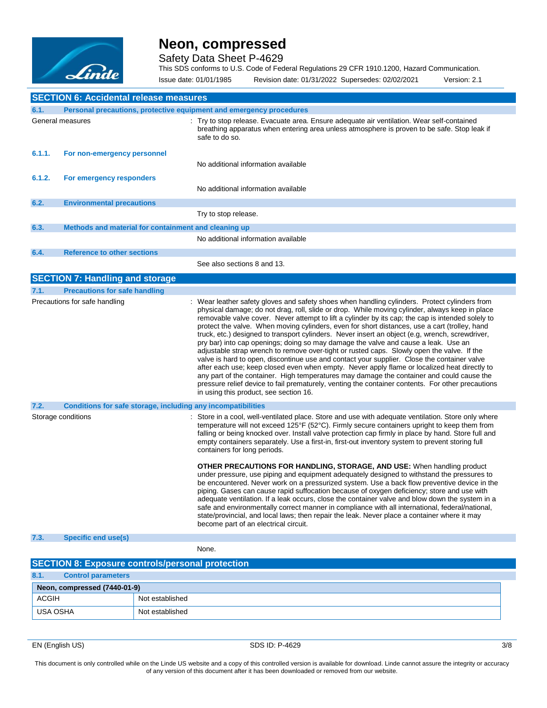

Safety Data Sheet P-4629

This SDS conforms to U.S. Code of Federal Regulations 29 CFR 1910.1200, Hazard Communication. Issue date: 01/01/1985 Revision date: 01/31/2022 Supersedes: 02/02/2021 Version: 2.1

|        | <b>SECTION 6: Accidental release measures</b>                               |                                                                                                                                                                                                                                                                                                                                                                                                                                                                                                                                                                                                                                                                                                                                                                                                                                                                                                                                                                                                                                                                                                                                         |  |  |  |
|--------|-----------------------------------------------------------------------------|-----------------------------------------------------------------------------------------------------------------------------------------------------------------------------------------------------------------------------------------------------------------------------------------------------------------------------------------------------------------------------------------------------------------------------------------------------------------------------------------------------------------------------------------------------------------------------------------------------------------------------------------------------------------------------------------------------------------------------------------------------------------------------------------------------------------------------------------------------------------------------------------------------------------------------------------------------------------------------------------------------------------------------------------------------------------------------------------------------------------------------------------|--|--|--|
|        | 6.1.<br>Personal precautions, protective equipment and emergency procedures |                                                                                                                                                                                                                                                                                                                                                                                                                                                                                                                                                                                                                                                                                                                                                                                                                                                                                                                                                                                                                                                                                                                                         |  |  |  |
|        | General measures                                                            | Try to stop release. Evacuate area. Ensure adequate air ventilation. Wear self-contained<br>breathing apparatus when entering area unless atmosphere is proven to be safe. Stop leak if<br>safe to do so.                                                                                                                                                                                                                                                                                                                                                                                                                                                                                                                                                                                                                                                                                                                                                                                                                                                                                                                               |  |  |  |
| 6.1.1. | For non-emergency personnel                                                 |                                                                                                                                                                                                                                                                                                                                                                                                                                                                                                                                                                                                                                                                                                                                                                                                                                                                                                                                                                                                                                                                                                                                         |  |  |  |
|        |                                                                             | No additional information available                                                                                                                                                                                                                                                                                                                                                                                                                                                                                                                                                                                                                                                                                                                                                                                                                                                                                                                                                                                                                                                                                                     |  |  |  |
| 6.1.2. | For emergency responders                                                    |                                                                                                                                                                                                                                                                                                                                                                                                                                                                                                                                                                                                                                                                                                                                                                                                                                                                                                                                                                                                                                                                                                                                         |  |  |  |
|        |                                                                             | No additional information available                                                                                                                                                                                                                                                                                                                                                                                                                                                                                                                                                                                                                                                                                                                                                                                                                                                                                                                                                                                                                                                                                                     |  |  |  |
| 6.2.   | <b>Environmental precautions</b>                                            |                                                                                                                                                                                                                                                                                                                                                                                                                                                                                                                                                                                                                                                                                                                                                                                                                                                                                                                                                                                                                                                                                                                                         |  |  |  |
|        |                                                                             | Try to stop release.                                                                                                                                                                                                                                                                                                                                                                                                                                                                                                                                                                                                                                                                                                                                                                                                                                                                                                                                                                                                                                                                                                                    |  |  |  |
| 6.3.   | Methods and material for containment and cleaning up                        |                                                                                                                                                                                                                                                                                                                                                                                                                                                                                                                                                                                                                                                                                                                                                                                                                                                                                                                                                                                                                                                                                                                                         |  |  |  |
|        |                                                                             | No additional information available                                                                                                                                                                                                                                                                                                                                                                                                                                                                                                                                                                                                                                                                                                                                                                                                                                                                                                                                                                                                                                                                                                     |  |  |  |
| 6.4.   | <b>Reference to other sections</b>                                          |                                                                                                                                                                                                                                                                                                                                                                                                                                                                                                                                                                                                                                                                                                                                                                                                                                                                                                                                                                                                                                                                                                                                         |  |  |  |
|        |                                                                             | See also sections 8 and 13.                                                                                                                                                                                                                                                                                                                                                                                                                                                                                                                                                                                                                                                                                                                                                                                                                                                                                                                                                                                                                                                                                                             |  |  |  |
|        | <b>SECTION 7: Handling and storage</b>                                      |                                                                                                                                                                                                                                                                                                                                                                                                                                                                                                                                                                                                                                                                                                                                                                                                                                                                                                                                                                                                                                                                                                                                         |  |  |  |
| 7.1.   | <b>Precautions for safe handling</b>                                        |                                                                                                                                                                                                                                                                                                                                                                                                                                                                                                                                                                                                                                                                                                                                                                                                                                                                                                                                                                                                                                                                                                                                         |  |  |  |
|        | Precautions for safe handling                                               | : Wear leather safety gloves and safety shoes when handling cylinders. Protect cylinders from<br>physical damage; do not drag, roll, slide or drop. While moving cylinder, always keep in place<br>removable valve cover. Never attempt to lift a cylinder by its cap; the cap is intended solely to<br>protect the valve. When moving cylinders, even for short distances, use a cart (trolley, hand<br>truck, etc.) designed to transport cylinders. Never insert an object (e.g, wrench, screwdriver,<br>pry bar) into cap openings; doing so may damage the valve and cause a leak. Use an<br>adjustable strap wrench to remove over-tight or rusted caps. Slowly open the valve. If the<br>valve is hard to open, discontinue use and contact your supplier. Close the container valve<br>after each use; keep closed even when empty. Never apply flame or localized heat directly to<br>any part of the container. High temperatures may damage the container and could cause the<br>pressure relief device to fail prematurely, venting the container contents. For other precautions<br>in using this product, see section 16. |  |  |  |
| 7.2.   | Conditions for safe storage, including any incompatibilities                |                                                                                                                                                                                                                                                                                                                                                                                                                                                                                                                                                                                                                                                                                                                                                                                                                                                                                                                                                                                                                                                                                                                                         |  |  |  |
|        | Storage conditions                                                          | : Store in a cool, well-ventilated place. Store and use with adequate ventilation. Store only where<br>temperature will not exceed 125°F (52°C). Firmly secure containers upright to keep them from<br>falling or being knocked over. Install valve protection cap firmly in place by hand. Store full and<br>empty containers separately. Use a first-in, first-out inventory system to prevent storing full<br>containers for long periods.                                                                                                                                                                                                                                                                                                                                                                                                                                                                                                                                                                                                                                                                                           |  |  |  |
|        |                                                                             | <b>OTHER PRECAUTIONS FOR HANDLING, STORAGE, AND USE:</b> When handling product<br>under pressure, use piping and equipment adequately designed to withstand the pressures to<br>be encountered. Never work on a pressurized system. Use a back flow preventive device in the<br>piping. Gases can cause rapid suffocation because of oxygen deficiency; store and use with<br>adequate ventilation. If a leak occurs, close the container valve and blow down the system in a<br>safe and environmentally correct manner in compliance with all international, federal/national,<br>state/provincial, and local laws; then repair the leak. Never place a container where it may<br>become part of an electrical circuit.                                                                                                                                                                                                                                                                                                                                                                                                               |  |  |  |
| 7.3.   | <b>Specific end use(s)</b>                                                  |                                                                                                                                                                                                                                                                                                                                                                                                                                                                                                                                                                                                                                                                                                                                                                                                                                                                                                                                                                                                                                                                                                                                         |  |  |  |
|        |                                                                             | None.                                                                                                                                                                                                                                                                                                                                                                                                                                                                                                                                                                                                                                                                                                                                                                                                                                                                                                                                                                                                                                                                                                                                   |  |  |  |
|        | <b>SECTION 8: Exposure controls/personal protection</b>                     |                                                                                                                                                                                                                                                                                                                                                                                                                                                                                                                                                                                                                                                                                                                                                                                                                                                                                                                                                                                                                                                                                                                                         |  |  |  |

| 8.1.         | <b>Control parameters</b>    |                 |
|--------------|------------------------------|-----------------|
|              | Neon, compressed (7440-01-9) |                 |
| <b>ACGIH</b> |                              | Not established |
| USA OSHA     |                              | Not established |

EN (English US) 3/8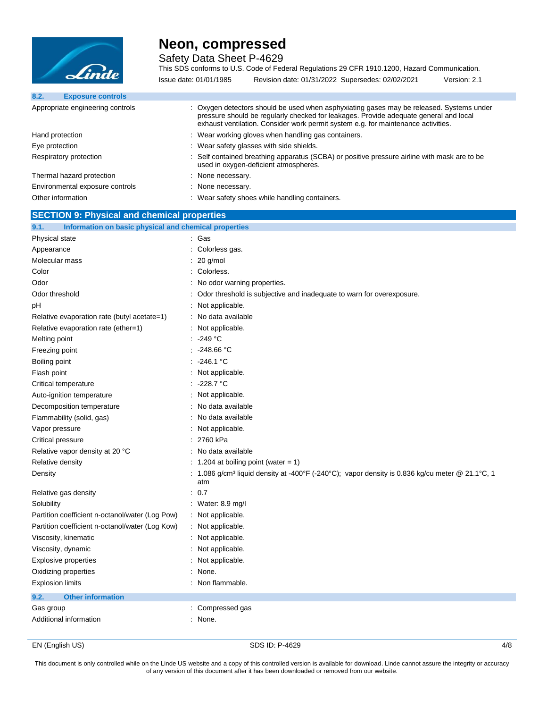

Safety Data Sheet P-4629

This SDS conforms to U.S. Code of Federal Regulations 29 CFR 1910.1200, Hazard Communication. Issue date: 01/01/1985 Revision date: 01/31/2022 Supersedes: 02/02/2021 Version: 2.1

| 8.2.<br><b>Exposure controls</b> |                                                                                                                                                                                                                                                                        |
|----------------------------------|------------------------------------------------------------------------------------------------------------------------------------------------------------------------------------------------------------------------------------------------------------------------|
| Appropriate engineering controls | : Oxygen detectors should be used when asphyxiating gases may be released. Systems under<br>pressure should be regularly checked for leakages. Provide adequate general and local<br>exhaust ventilation. Consider work permit system e.g. for maintenance activities. |
| Hand protection                  | : Wear working gloves when handling gas containers.                                                                                                                                                                                                                    |
| Eye protection                   | : Wear safety glasses with side shields.                                                                                                                                                                                                                               |
| Respiratory protection           | : Self contained breathing apparatus (SCBA) or positive pressure airline with mask are to be<br>used in oxygen-deficient atmospheres.                                                                                                                                  |
| Thermal hazard protection        | None necessary.                                                                                                                                                                                                                                                        |
| Environmental exposure controls  | None necessary.                                                                                                                                                                                                                                                        |
| Other information                | Wear safety shoes while handling containers.                                                                                                                                                                                                                           |

### **SECTION 9: Physical and chemical properties**

| 9.1.<br>Information on basic physical and chemical properties |                                                                                                                  |  |
|---------------------------------------------------------------|------------------------------------------------------------------------------------------------------------------|--|
| Physical state                                                | : Gas                                                                                                            |  |
| Appearance                                                    | Colorless gas.                                                                                                   |  |
| Molecular mass                                                | 20 g/mol                                                                                                         |  |
| Color                                                         | Colorless.                                                                                                       |  |
| Odor                                                          | No odor warning properties.                                                                                      |  |
| Odor threshold                                                | Odor threshold is subjective and inadequate to warn for overexposure.                                            |  |
| рH                                                            | Not applicable.                                                                                                  |  |
| Relative evaporation rate (butyl acetate=1)                   | : No data available                                                                                              |  |
| Relative evaporation rate (ether=1)                           | : Not applicable.                                                                                                |  |
| Melting point                                                 | : 249 °C                                                                                                         |  |
| Freezing point                                                | . 248.66 °C                                                                                                      |  |
| Boiling point                                                 | -246.1 °C                                                                                                        |  |
| Flash point                                                   | Not applicable.                                                                                                  |  |
| Critical temperature                                          | -228.7 °C                                                                                                        |  |
| Auto-ignition temperature                                     | Not applicable.                                                                                                  |  |
| Decomposition temperature                                     | No data available                                                                                                |  |
| Flammability (solid, gas)                                     | : No data available                                                                                              |  |
| Vapor pressure                                                | : Not applicable.                                                                                                |  |
| Critical pressure                                             | : 2760 kPa                                                                                                       |  |
| Relative vapor density at 20 °C                               | : No data available                                                                                              |  |
| Relative density                                              | $: 1.204$ at boiling point (water = 1)                                                                           |  |
| Density                                                       | 1.086 g/cm <sup>3</sup> liquid density at -400°F (-240°C); vapor density is 0.836 kg/cu meter @ 21.1°C, 1<br>atm |  |
| Relative gas density                                          | : 0.7                                                                                                            |  |
| Solubility                                                    | Water: $8.9 \text{ mg/l}$                                                                                        |  |
| Partition coefficient n-octanol/water (Log Pow)               | : Not applicable.                                                                                                |  |
| Partition coefficient n-octanol/water (Log Kow)               | : Not applicable.                                                                                                |  |
| Viscosity, kinematic                                          | Not applicable.                                                                                                  |  |
| Viscosity, dynamic                                            | : Not applicable.                                                                                                |  |
| <b>Explosive properties</b>                                   | : Not applicable.                                                                                                |  |
| Oxidizing properties                                          | None.                                                                                                            |  |
| <b>Explosion limits</b>                                       | : Non flammable.                                                                                                 |  |
| <b>Other information</b><br>9.2.                              |                                                                                                                  |  |
| Gas group                                                     | Compressed gas                                                                                                   |  |
| Additional information                                        | : None.                                                                                                          |  |

EN (English US) SDS ID: P-4629 4/8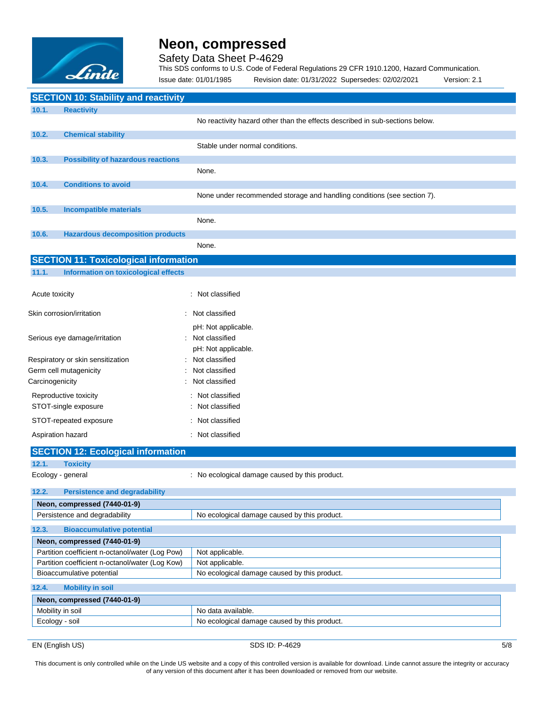

Safety Data Sheet P-4629

This SDS conforms to U.S. Code of Federal Regulations 29 CFR 1910.1200, Hazard Communication.

|                 | Linde                                           | Issue date: 01/01/1985 | Revision date: 01/31/2022 Supersedes: 02/02/2021                             | Version: 2.1 |
|-----------------|-------------------------------------------------|------------------------|------------------------------------------------------------------------------|--------------|
|                 | <b>SECTION 10: Stability and reactivity</b>     |                        |                                                                              |              |
| 10.1.           | <b>Reactivity</b>                               |                        |                                                                              |              |
|                 |                                                 |                        | No reactivity hazard other than the effects described in sub-sections below. |              |
| 10.2.           | <b>Chemical stability</b>                       |                        |                                                                              |              |
|                 |                                                 |                        | Stable under normal conditions.                                              |              |
| 10.3.           | <b>Possibility of hazardous reactions</b>       |                        |                                                                              |              |
|                 |                                                 | None.                  |                                                                              |              |
| 10.4.           | <b>Conditions to avoid</b>                      |                        |                                                                              |              |
|                 |                                                 |                        | None under recommended storage and handling conditions (see section 7).      |              |
|                 |                                                 |                        |                                                                              |              |
| 10.5.           | <b>Incompatible materials</b>                   |                        |                                                                              |              |
|                 |                                                 | None.                  |                                                                              |              |
| 10.6.           | <b>Hazardous decomposition products</b>         |                        |                                                                              |              |
|                 |                                                 | None.                  |                                                                              |              |
|                 | <b>SECTION 11: Toxicological information</b>    |                        |                                                                              |              |
| 11.1.           | <b>Information on toxicological effects</b>     |                        |                                                                              |              |
|                 |                                                 |                        |                                                                              |              |
| Acute toxicity  |                                                 | : Not classified       |                                                                              |              |
|                 |                                                 |                        |                                                                              |              |
|                 | Skin corrosion/irritation                       | Not classified         |                                                                              |              |
|                 |                                                 | pH: Not applicable.    |                                                                              |              |
|                 | Serious eye damage/irritation                   | Not classified         |                                                                              |              |
|                 |                                                 | pH: Not applicable.    |                                                                              |              |
|                 | Respiratory or skin sensitization               | Not classified         |                                                                              |              |
|                 | Germ cell mutagenicity                          | Not classified         |                                                                              |              |
| Carcinogenicity |                                                 | Not classified         |                                                                              |              |
|                 |                                                 |                        |                                                                              |              |
|                 | Reproductive toxicity                           | : Not classified       |                                                                              |              |
|                 | STOT-single exposure                            | : Not classified       |                                                                              |              |
|                 | STOT-repeated exposure                          | : Not classified       |                                                                              |              |
|                 | Aspiration hazard                               | : Not classified       |                                                                              |              |
|                 | <b>SECTION 12: Ecological information</b>       |                        |                                                                              |              |
| 12.1.           | <b>Toxicity</b>                                 |                        |                                                                              |              |
|                 | Ecology - general                               |                        | : No ecological damage caused by this product.                               |              |
|                 |                                                 |                        |                                                                              |              |
| 12.2.           | <b>Persistence and degradability</b>            |                        |                                                                              |              |
|                 | Neon, compressed (7440-01-9)                    |                        |                                                                              |              |
|                 | Persistence and degradability                   |                        | No ecological damage caused by this product.                                 |              |
| 12.3.           | <b>Bioaccumulative potential</b>                |                        |                                                                              |              |
|                 | Neon, compressed (7440-01-9)                    |                        |                                                                              |              |
|                 | Partition coefficient n-octanol/water (Log Pow) | Not applicable.        |                                                                              |              |
|                 | Partition coefficient n-octanol/water (Log Kow) | Not applicable.        |                                                                              |              |
|                 | Bioaccumulative potential                       |                        | No ecological damage caused by this product.                                 |              |
| 12.4.           | <b>Mobility in soil</b>                         |                        |                                                                              |              |
|                 | Neon, compressed (7440-01-9)                    |                        |                                                                              |              |
|                 | Mobility in soil                                | No data available.     |                                                                              |              |
| Ecology - soil  |                                                 |                        | No ecological damage caused by this product.                                 |              |
|                 |                                                 |                        |                                                                              |              |

EN (English US) 5/8 SDS ID: P-4629 5/8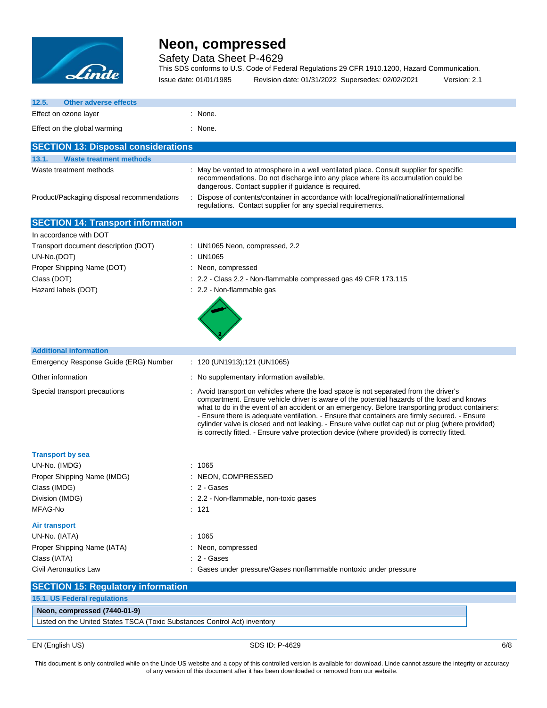

Safety Data Sheet P-4629

This SDS conforms to U.S. Code of Federal Regulations 29 CFR 1910.1200, Hazard Communication. Issue date: 01/01/1985 Revision date: 01/31/2022 Supersedes: 02/02/2021 Version: 2.1

| 12.5.<br><b>Other adverse effects</b>                                                                                   |                                                                                                                                                                                                                                                                                                                                                                                                                                                                                                                                                                                            |  |  |
|-------------------------------------------------------------------------------------------------------------------------|--------------------------------------------------------------------------------------------------------------------------------------------------------------------------------------------------------------------------------------------------------------------------------------------------------------------------------------------------------------------------------------------------------------------------------------------------------------------------------------------------------------------------------------------------------------------------------------------|--|--|
| Effect on ozone layer                                                                                                   | : None.                                                                                                                                                                                                                                                                                                                                                                                                                                                                                                                                                                                    |  |  |
| Effect on the global warming                                                                                            | : None.                                                                                                                                                                                                                                                                                                                                                                                                                                                                                                                                                                                    |  |  |
|                                                                                                                         |                                                                                                                                                                                                                                                                                                                                                                                                                                                                                                                                                                                            |  |  |
| <b>SECTION 13: Disposal considerations</b>                                                                              |                                                                                                                                                                                                                                                                                                                                                                                                                                                                                                                                                                                            |  |  |
| 13.1.<br><b>Waste treatment methods</b>                                                                                 |                                                                                                                                                                                                                                                                                                                                                                                                                                                                                                                                                                                            |  |  |
| Waste treatment methods                                                                                                 | : May be vented to atmosphere in a well ventilated place. Consult supplier for specific<br>recommendations. Do not discharge into any place where its accumulation could be<br>dangerous. Contact supplier if guidance is required.                                                                                                                                                                                                                                                                                                                                                        |  |  |
| Product/Packaging disposal recommendations                                                                              | Dispose of contents/container in accordance with local/regional/national/international<br>regulations. Contact supplier for any special requirements.                                                                                                                                                                                                                                                                                                                                                                                                                                      |  |  |
| <b>SECTION 14: Transport information</b>                                                                                |                                                                                                                                                                                                                                                                                                                                                                                                                                                                                                                                                                                            |  |  |
| In accordance with DOT                                                                                                  |                                                                                                                                                                                                                                                                                                                                                                                                                                                                                                                                                                                            |  |  |
| Transport document description (DOT)<br>UN-No.(DOT)<br>Proper Shipping Name (DOT)<br>Class (DOT)<br>Hazard labels (DOT) | : UN1065 Neon, compressed, 2.2<br>: UN1065<br>: Neon, compressed<br>: 2.2 - Class 2.2 - Non-flammable compressed gas 49 CFR 173.115<br>: 2.2 - Non-flammable gas                                                                                                                                                                                                                                                                                                                                                                                                                           |  |  |
| <b>Additional information</b>                                                                                           |                                                                                                                                                                                                                                                                                                                                                                                                                                                                                                                                                                                            |  |  |
| Emergency Response Guide (ERG) Number                                                                                   | $: 120 \, (UN1913); 121 \, (UN1065)$                                                                                                                                                                                                                                                                                                                                                                                                                                                                                                                                                       |  |  |
|                                                                                                                         |                                                                                                                                                                                                                                                                                                                                                                                                                                                                                                                                                                                            |  |  |
| Other information                                                                                                       | : No supplementary information available.                                                                                                                                                                                                                                                                                                                                                                                                                                                                                                                                                  |  |  |
| Special transport precautions                                                                                           | : Avoid transport on vehicles where the load space is not separated from the driver's<br>compartment. Ensure vehicle driver is aware of the potential hazards of the load and knows<br>what to do in the event of an accident or an emergency. Before transporting product containers:<br>- Ensure there is adequate ventilation. - Ensure that containers are firmly secured. - Ensure<br>cylinder valve is closed and not leaking. - Ensure valve outlet cap nut or plug (where provided)<br>is correctly fitted. - Ensure valve protection device (where provided) is correctly fitted. |  |  |
| <b>Transport by sea</b>                                                                                                 |                                                                                                                                                                                                                                                                                                                                                                                                                                                                                                                                                                                            |  |  |
| UN-No. (IMDG)                                                                                                           | : 1065                                                                                                                                                                                                                                                                                                                                                                                                                                                                                                                                                                                     |  |  |
| Proper Shipping Name (IMDG)                                                                                             | : NEON, COMPRESSED                                                                                                                                                                                                                                                                                                                                                                                                                                                                                                                                                                         |  |  |
| Class (IMDG)                                                                                                            | : 2 - Gases                                                                                                                                                                                                                                                                                                                                                                                                                                                                                                                                                                                |  |  |
| Division (IMDG)                                                                                                         | 2.2 - Non-flammable, non-toxic gases                                                                                                                                                                                                                                                                                                                                                                                                                                                                                                                                                       |  |  |
| MFAG-No                                                                                                                 | : 121                                                                                                                                                                                                                                                                                                                                                                                                                                                                                                                                                                                      |  |  |
| Air transport                                                                                                           |                                                                                                                                                                                                                                                                                                                                                                                                                                                                                                                                                                                            |  |  |
| UN-No. (IATA)                                                                                                           | : 1065                                                                                                                                                                                                                                                                                                                                                                                                                                                                                                                                                                                     |  |  |
| Proper Shipping Name (IATA)                                                                                             | : Neon, compressed                                                                                                                                                                                                                                                                                                                                                                                                                                                                                                                                                                         |  |  |
| Class (IATA)                                                                                                            | : 2 - Gases                                                                                                                                                                                                                                                                                                                                                                                                                                                                                                                                                                                |  |  |
| <b>Civil Aeronautics Law</b>                                                                                            | : Gases under pressure/Gases nonflammable nontoxic under pressure                                                                                                                                                                                                                                                                                                                                                                                                                                                                                                                          |  |  |
| <b>SECTION 15: Regulatory information</b>                                                                               |                                                                                                                                                                                                                                                                                                                                                                                                                                                                                                                                                                                            |  |  |
| 15.1. US Federal regulations                                                                                            |                                                                                                                                                                                                                                                                                                                                                                                                                                                                                                                                                                                            |  |  |
| Neon, compressed (7440-01-9)                                                                                            |                                                                                                                                                                                                                                                                                                                                                                                                                                                                                                                                                                                            |  |  |
| Listed on the United States TSCA (Toxic Substances Control Act) inventory                                               |                                                                                                                                                                                                                                                                                                                                                                                                                                                                                                                                                                                            |  |  |
|                                                                                                                         |                                                                                                                                                                                                                                                                                                                                                                                                                                                                                                                                                                                            |  |  |

EN (English US) 6/8 SDS ID: P-4629 6/8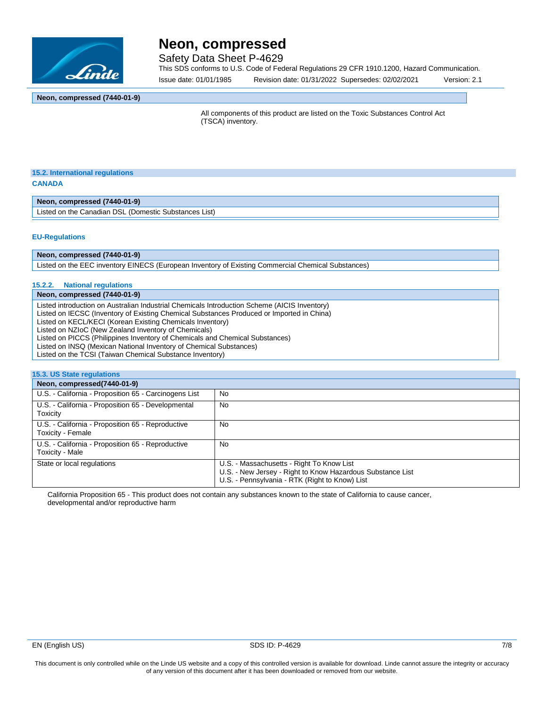

Safety Data Sheet P-4629

This SDS conforms to U.S. Code of Federal Regulations 29 CFR 1910.1200, Hazard Communication.

Issue date: 01/01/1985 Revision date: 01/31/2022 Supersedes: 02/02/2021 Version: 2.1

### **Neon, compressed (7440-01-9)**

All components of this product are listed on the Toxic Substances Control Act (TSCA) inventory.

### **15.2. International regulations CANADA**

**Neon, compressed (7440-01-9)**

Listed on the Canadian DSL (Domestic Substances List)

#### **EU-Regulations**

**Neon, compressed (7440-01-9)**

Listed on the EEC inventory EINECS (European Inventory of Existing Commercial Chemical Substances)

### **15.2.2. National regulations**

#### **Neon, compressed (7440-01-9)**

Listed introduction on Australian Industrial Chemicals Introduction Scheme (AICIS Inventory) Listed on IECSC (Inventory of Existing Chemical Substances Produced or Imported in China) Listed on KECL/KECI (Korean Existing Chemicals Inventory) Listed on NZIoC (New Zealand Inventory of Chemicals) Listed on PICCS (Philippines Inventory of Chemicals and Chemical Substances) Listed on INSQ (Mexican National Inventory of Chemical Substances) Listed on the TCSI (Taiwan Chemical Substance Inventory)

### **15.3. US State regulations**

| Neon, compressed(7440-01-9)                                            |                                                                                                                                                           |
|------------------------------------------------------------------------|-----------------------------------------------------------------------------------------------------------------------------------------------------------|
| U.S. - California - Proposition 65 - Carcinogens List                  | No                                                                                                                                                        |
| U.S. - California - Proposition 65 - Developmental<br>Toxicity         | No                                                                                                                                                        |
| U.S. - California - Proposition 65 - Reproductive<br>Toxicity - Female | No                                                                                                                                                        |
| U.S. - California - Proposition 65 - Reproductive<br>Toxicity - Male   | No                                                                                                                                                        |
| State or local regulations                                             | U.S. - Massachusetts - Right To Know List<br>U.S. - New Jersey - Right to Know Hazardous Substance List<br>U.S. - Pennsylvania - RTK (Right to Know) List |

California Proposition 65 - This product does not contain any substances known to the state of California to cause cancer, developmental and/or reproductive harm